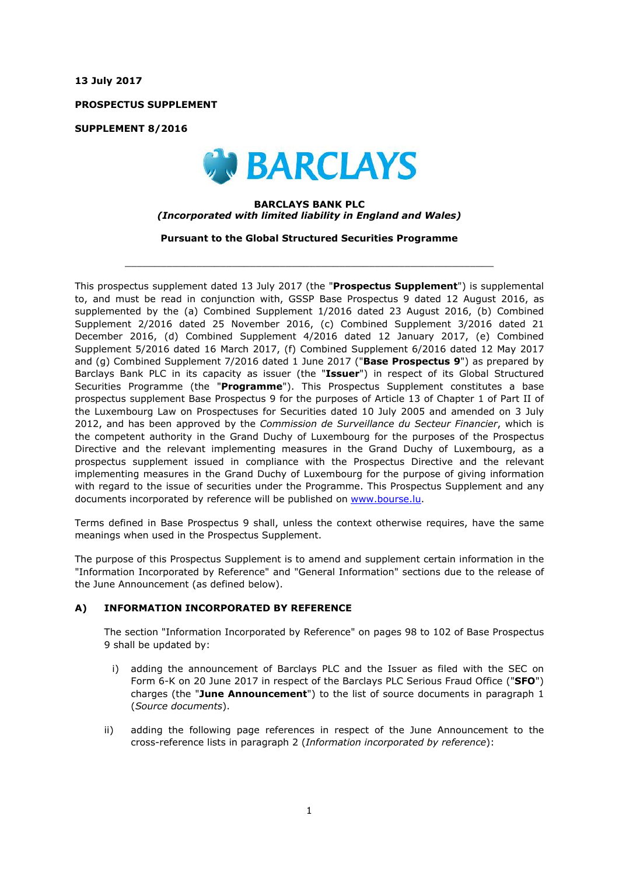**13 July 2017**

**PROSPECTUS SUPPLEMENT**

**SUPPLEMENT 8/2016**



## **BARCLAYS BANK PLC** *(Incorporated with limited liability in England and Wales)*

**Pursuant to the Global Structured Securities Programme**

 $\_$  ,  $\_$  ,  $\_$  ,  $\_$  ,  $\_$  ,  $\_$  ,  $\_$  ,  $\_$  ,  $\_$  ,  $\_$  ,  $\_$  ,  $\_$  ,  $\_$  ,  $\_$  ,  $\_$  ,  $\_$  ,  $\_$  ,  $\_$  ,  $\_$  ,  $\_$  ,  $\_$  ,  $\_$  ,  $\_$  ,  $\_$  ,  $\_$  ,  $\_$  ,  $\_$  ,  $\_$  ,  $\_$  ,  $\_$  ,  $\_$  ,  $\_$  ,  $\_$  ,  $\_$  ,  $\_$  ,  $\_$  ,  $\_$  ,

This prospectus supplement dated 13 July 2017 (the "**Prospectus Supplement**") is supplemental to, and must be read in conjunction with, GSSP Base Prospectus 9 dated 12 August 2016, as supplemented by the (a) Combined Supplement 1/2016 dated 23 August 2016, (b) Combined Supplement 2/2016 dated 25 November 2016, (c) Combined Supplement 3/2016 dated 21 December 2016, (d) Combined Supplement 4/2016 dated 12 January 2017, (e) Combined Supplement 5/2016 dated 16 March 2017, (f) Combined Supplement 6/2016 dated 12 May 2017 and (g) Combined Supplement 7/2016 dated 1 June 2017 ("**Base Prospectus 9**") as prepared by Barclays Bank PLC in its capacity as issuer (the "**Issuer**") in respect of its Global Structured Securities Programme (the "**Programme**"). This Prospectus Supplement constitutes a base prospectus supplement Base Prospectus 9 for the purposes of Article 13 of Chapter 1 of Part II of the Luxembourg Law on Prospectuses for Securities dated 10 July 2005 and amended on 3 July 2012, and has been approved by the *Commission de Surveillance du Secteur Financier*, which is the competent authority in the Grand Duchy of Luxembourg for the purposes of the Prospectus Directive and the relevant implementing measures in the Grand Duchy of Luxembourg, as a prospectus supplement issued in compliance with the Prospectus Directive and the relevant implementing measures in the Grand Duchy of Luxembourg for the purpose of giving information with regard to the issue of securities under the Programme. This Prospectus Supplement and any documents incorporated by reference will be published on www.bourse.lu.

Terms defined in Base Prospectus 9 shall, unless the context otherwise requires, have the same meanings when used in the Prospectus Supplement.

The purpose of this Prospectus Supplement is to amend and supplement certain information in the "Information Incorporated by Reference" and "General Information" sections due to the release of the June Announcement (as defined below).

## **A) INFORMATION INCORPORATED BY REFERENCE**

The section "Information Incorporated by Reference" on pages 98 to 102 of Base Prospectus 9 shall be updated by:

- i) adding the announcement of Barclays PLC and the Issuer as filed with the SEC on Form 6-K on 20 June 2017 in respect of the Barclays PLC Serious Fraud Office ("**SFO**") charges (the "**June Announcement**") to the list of source documents in paragraph 1 (*Source documents*).
- ii) adding the following page references in respect of the June Announcement to the cross-reference lists in paragraph 2 (*Information incorporated by reference*):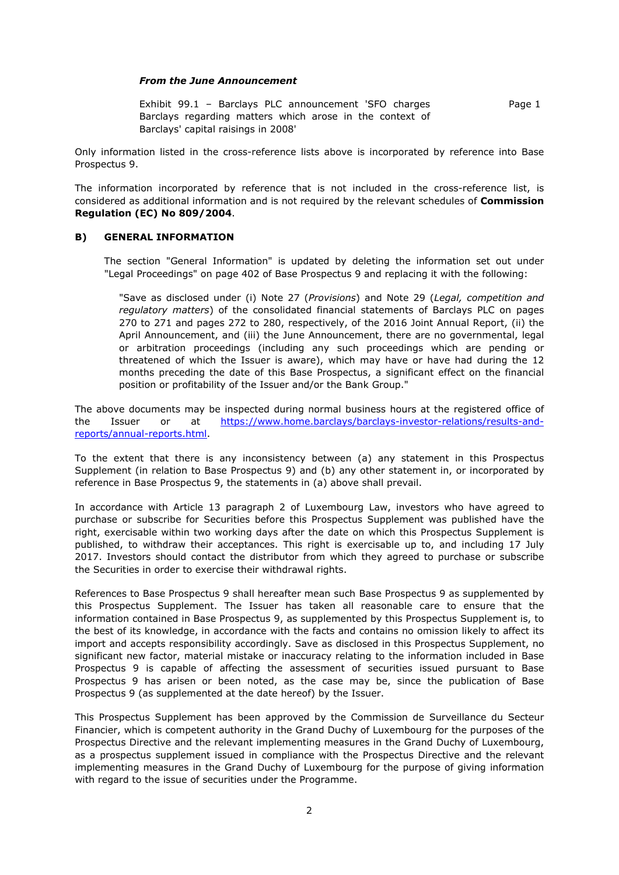## *From the June Announcement*

Exhibit 99.1 – Barclays PLC announcement 'SFO charges Barclays regarding matters which arose in the context of Barclays' capital raisings in 2008' Page 1

Only information listed in the cross-reference lists above is incorporated by reference into Base Prospectus 9.

The information incorporated by reference that is not included in the cross-reference list, is considered as additional information and is not required by the relevant schedules of **Commission Regulation (EC) No 809/2004**.

## **B) GENERAL INFORMATION**

The section "General Information" is updated by deleting the information set out under "Legal Proceedings" on page 402 of Base Prospectus 9 and replacing it with the following:

"Save as disclosed under (i) Note 27 (*Provisions*) and Note 29 (*Legal, competition and regulatory matters*) of the consolidated financial statements of Barclays PLC on pages 270 to 271 and pages 272 to 280, respectively, of the 2016 Joint Annual Report, (ii) the April Announcement, and (iii) the June Announcement, there are no governmental, legal or arbitration proceedings (including any such proceedings which are pending or threatened of which the Issuer is aware), which may have or have had during the 12 months preceding the date of this Base Prospectus, a significant effect on the financial position or profitability of the Issuer and/or the Bank Group."

The above documents may be inspected during normal business hours at the registered office of the Issuer or at https://www.home.barclays/barclays-investor-relations/results-andreports/annual-reports.html.

To the extent that there is any inconsistency between (a) any statement in this Prospectus Supplement (in relation to Base Prospectus 9) and (b) any other statement in, or incorporated by reference in Base Prospectus 9, the statements in (a) above shall prevail.

In accordance with Article 13 paragraph 2 of Luxembourg Law, investors who have agreed to purchase or subscribe for Securities before this Prospectus Supplement was published have the right, exercisable within two working days after the date on which this Prospectus Supplement is published, to withdraw their acceptances. This right is exercisable up to, and including 17 July 2017. Investors should contact the distributor from which they agreed to purchase or subscribe the Securities in order to exercise their withdrawal rights.

References to Base Prospectus 9 shall hereafter mean such Base Prospectus 9 as supplemented by this Prospectus Supplement. The Issuer has taken all reasonable care to ensure that the information contained in Base Prospectus 9, as supplemented by this Prospectus Supplement is, to the best of its knowledge, in accordance with the facts and contains no omission likely to affect its import and accepts responsibility accordingly. Save as disclosed in this Prospectus Supplement, no significant new factor, material mistake or inaccuracy relating to the information included in Base Prospectus 9 is capable of affecting the assessment of securities issued pursuant to Base Prospectus 9 has arisen or been noted, as the case may be, since the publication of Base Prospectus 9 (as supplemented at the date hereof) by the Issuer.

This Prospectus Supplement has been approved by the Commission de Surveillance du Secteur Financier, which is competent authority in the Grand Duchy of Luxembourg for the purposes of the Prospectus Directive and the relevant implementing measures in the Grand Duchy of Luxembourg, as a prospectus supplement issued in compliance with the Prospectus Directive and the relevant implementing measures in the Grand Duchy of Luxembourg for the purpose of giving information with regard to the issue of securities under the Programme.